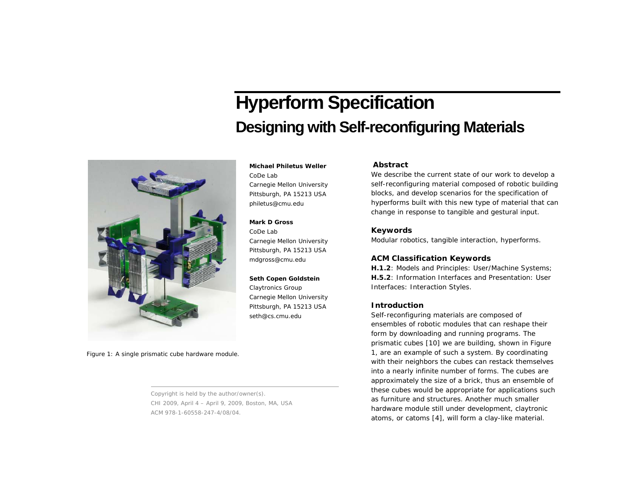# **Hyperform Specification Designing with Self-reconfiguring Materials**



**Michael Philetus Weller** 

CoDe Lab Carnegie Mellon University Pittsburgh, PA 15213 USA philetus@cmu.edu

# **Mark D Gross**

CoDe Lab Carnegie Mellon University Pittsburgh, PA 15213 USA mdgross@cmu.edu

## **Seth Copen Goldstein**

Claytronics Group Carnegie Mellon University Pittsburgh, PA 15213 USA seth@cs.cmu.edu

# **Abstract**

We describe the current state of our work to develop a *self-reconfiguring material* composed of robotic building blocks, and develop scenarios for the specification of *hyperforms* built with this new type of material that can change in response to tangible and gestural input.

# **Keywords**

Modular robotics, tangible interaction, hyperforms.

## **ACM Classification Keywords**

**H.1.2**: Models and Principles: User/Machine Systems; **H.5.2**: Information Interfaces and Presentation: User Interfaces: Interaction Styles.

## **Introduction**

*Self-reconfiguring materials* are composed of ensembles of robotic modules that can reshape their form by downloading and running programs. The prismatic cubes [10] we are building, shown in Figure 1, are an example of such a system. By coordinating with their neighbors the cubes can restack themselves into a nearly infinite number of forms. The cubes are approximately the size of a brick, thus an ensemble of these cubes would be appropriate for applications such as furniture and structures. Another much smaller hardware module still under development, claytronic atoms, or catoms [4], will form a clay-like material.

Figure 1: A single prismatic cube hardware module.

Copyright is held by the author/owner(s). CHI 2009, April 4 – April 9, 2009, Boston, MA, USA ACM 978-1-60558-247-4/08/04.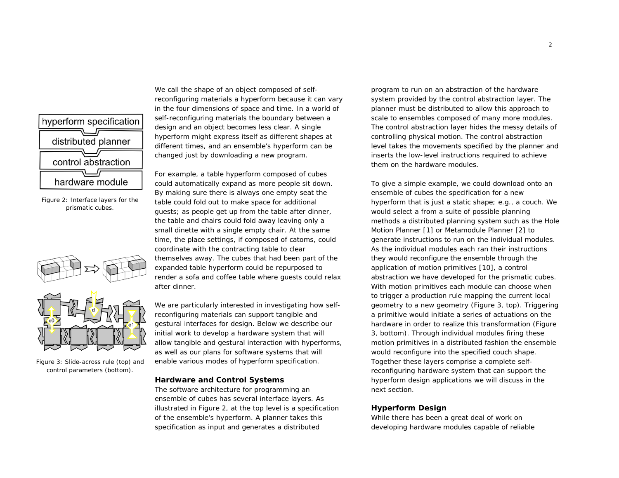

<span id="page-1-0"></span>Figure 2: Interface layers for the prismatic cubes.



<span id="page-1-1"></span>Figure 3: Slide-across rule (top) and control parameters (bottom).

We call the shape of an object composed of selfreconfiguring materials a *hyperform* because it can vary in the four dimensions of space and time. In a world of self-reconfiguring materials the boundary between a design and an object becomes less clear. A single hyperform might express itself as different shapes at different times, and an ensemble's hyperform can be changed just by downloading a new program.

For example, a table hyperform composed of cubes could automatically expand as more people sit down. By making sure there is always one empty seat the table could fold out to make space for additional guests; as people get up from the table after dinner, the table and chairs could fold away leaving only a small dinette with a single empty chair. At the same time, the place settings, if composed of catoms, could coordinate with the contracting table to clear themselves away. The cubes that had been part of the expanded table hyperform could be repurposed to render a sofa and coffee table where guests could relax after dinner.

We are particularly interested in investigating how selfreconfiguring materials can support tangible and gestural interfaces for design. Below we describe our initial work to develop a hardware system that will allow tangible and gestural interaction with hyperforms, as well as our plans for software systems that will enable various modes of hyperform specification.

## **Hardware and Control Systems**

The software architecture for programming an ensemble of cubes has several interface layers. As illustrated in [Figure 2](#page-1-0), at the top level is a specification of the ensemble's hyperform. A planner takes this specification as input and generates a distributed

program to run on an abstraction of the hardware system provided by the control abstraction layer. The planner must be distributed to allow this approach to scale to ensembles composed of many more modules. The control abstraction layer hides the messy details of controlling physical motion. The control abstraction level takes the movements specified by the planner and inserts the low-level instructions required to achieve them on the hardware modules.

To give a simple example, we could download onto an ensemble of cubes the specification for a new hyperform that is just a static shape; e.g., a couch. We would select a from a suite of possible planning methods a distributed planning system such as the Hole Motion Planner [1] or Metamodule Planner [2] to generate instructions to run on the individual modules. As the individual modules each ran their instructions they would reconfigure the ensemble through the application of motion primitives [10], a control abstraction we have developed for the prismatic cubes. With motion primitives each module can choose when to trigger a production rule mapping the current local geometry to a new geometry ([Figure 3](#page-1-1), top). Triggering a primitive would initiate a series of actuations on the hardware in order to realize this transformation ([Figure](#page-1-1)  [3](#page-1-1), bottom). Through individual modules firing these motion primitives in a distributed fashion the ensemble would reconfigure into the specified couch shape. Together these layers comprise a complete selfreconfiguring hardware system that can support the hyperform design applications we will discuss in the next section.

## **Hyperform Design**

While there has been a great deal of work on developing hardware modules capable of reliable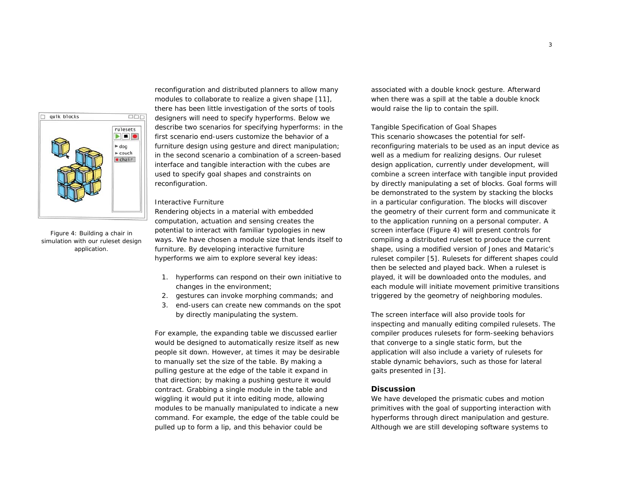

<span id="page-2-0"></span>Figure 4: Building a chair in simulation with our ruleset design application.

reconfiguration and distributed planners to allow many modules to collaborate to realize a given shape [11], there has been little investigation of the sorts of tools designers will need to specify hyperforms. Below we describe two scenarios for specifying hyperforms: in the first scenario end-users customize the behavior of a furniture design using gesture and direct manipulation; in the second scenario a combination of a screen-based interface and tangible interaction with the cubes are used to specify goal shapes and constraints on reconfiguration.

#### *Interactive Furniture*

Rendering objects in a material with embedded computation, actuation and sensing creates the potential to interact with familiar typologies in new ways. We have chosen a module size that lends itself to furniture. By developing interactive furniture hyperforms we aim to explore several key ideas:

- 1. hyperforms can respond on their own initiative to changes in the environment;
- 2. gestures can invoke morphing commands; and
- 3. end-users can create new commands on the spot by directly manipulating the system.

For example, the expanding table we discussed earlier would be designed to automatically resize itself as new people sit down. However, at times it may be desirable to manually set the size of the table. By making a pulling gesture at the edge of the table it expand in that direction; by making a pushing gesture it would contract. Grabbing a single module in the table and wiggling it would put it into editing mode, allowing modules to be manually manipulated to indicate a new command. For example, the edge of the table could be pulled up to form a lip, and this behavior could be

associated with a double knock gesture. Afterward when there was a spill at the table a double knock would raise the lip to contain the spill.

## *Tangible Specification of Goal Shapes*

This scenario showcases the potential for selfreconfiguring materials to be used as an input device as well as a medium for realizing designs. Our ruleset design application, currently under development, will combine a screen interface with tangible input provided by directly manipulating a set of blocks. Goal forms will be demonstrated to the system by stacking the blocks in a particular configuration. The blocks will discover the geometry of their current form and communicate it to the application running on a personal computer. A screen interface ([Figure 4\)](#page-2-0) will present controls for compiling a distributed ruleset to produce the current shape, using a modified version of Jones and Mataric's ruleset compiler [5]. Rulesets for different shapes could then be selected and played back. When a ruleset is played, it will be downloaded onto the modules, and each module will initiate movement primitive transitions triggered by the geometry of neighboring modules.

The screen interface will also provide tools for inspecting and manually editing compiled rulesets. The compiler produces rulesets for form-seeking behaviors that converge to a single static form, but the application will also include a variety of rulesets for stable dynamic behaviors, such as those for lateral gaits presented in [3].

## **Discussion**

We have developed the prismatic cubes and motion primitives with the goal of supporting interaction with hyperforms through direct manipulation and gesture. Although we are still developing software systems to